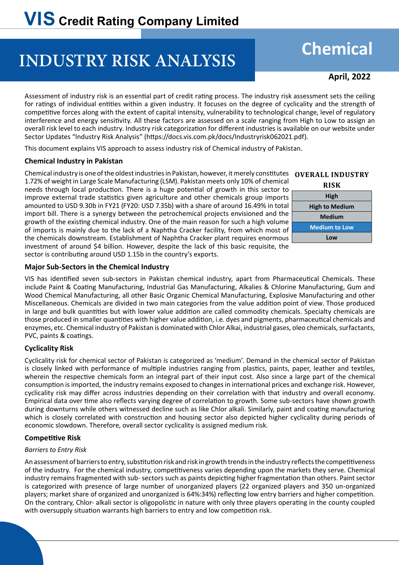# **INDUSTRY RISK ANALYSIS**

## **Chemical**

**April, 2022** 

Assessment of industry risk is an essential part of credit rating process. The industry risk assessment sets the ceiling for ratings of individual entities within a given industry. It focuses on the degree of cyclicality and the strength of competitive forces along with the extent of capital intensity, vulnerability to technological change, level of regulatory interference and energy sensitivity. All these factors are assessed on a scale ranging from High to Low to assign an overall risk level to each industry. Industry risk categorization for different industries is available on our website under Sector Updates "Industry Risk Analysis" (https://docs.vis.com.pk/docs/Industryrisk062021.pdf).

This document explains VIS approach to assess industry risk of Chemical industry of Pakistan.

## **Chemical Industry in Pakistan**

Chemical industry is one of the oldest industries in Pakistan, however, it merely constitutes 1.72% of weight in Large Scale Manufacturing (LSM). Pakistan meets only 10% of chemical needs through local production. There is a huge potential of growth in this sector to improve external trade statistics given agriculture and other chemicals group imports amounted to USD 9.30b in FY21 (FY20: USD 7.35b) with a share of around 16.49% in total import bill. There is a synergy between the petrochemical projects envisioned and the growth of the existing chemical industry. One of the main reason for such a high volume of imports is mainly due to the lack of a Naphtha Cracker facility, from which most of the chemicals downstream. Establishment of Naphtha Cracker plant requires enormous investment of around \$4 billion. However, despite the lack of this basic requisite, the sector is contributing around USD 1.15b in the country's exports.



## **Major Sub-Sectors in the Chemical Industry**

VIS has identified seven sub-sectors in Pakistan chemical industry, apart from Pharmaceutical Chemicals. These include Paint & Coating Manufacturing, Industrial Gas Manufacturing, Alkalies & Chlorine Manufacturing, Gum and Wood Chemical Manufacturing, all other Basic Organic Chemical Manufacturing, Explosive Manufacturing and other Miscellaneous. Chemicals are divided in two main categories from the value addition point of view. Those produced in large and bulk quantities but with lower value addition are called commodity chemicals. Specialty chemicals are those produced in smaller quantities with higher value addition, i.e. dyes and pigments, pharmaceutical chemicals and enzymes, etc. Chemical industry of Pakistan is dominated with Chlor Alkai, industrial gases, oleo chemicals, surfactants, PVC, paints & coatings.

## **Cyclicality Risk**

Cyclicality risk for chemical sector of Pakistan is categorized as 'medium'. Demand in the chemical sector of Pakistan is closely linked with performance of multiple industries ranging from plastics, paints, paper, leather and textiles, wherein the respective chemicals form an integral part of their input cost. Also since a large part of the chemical consumption is imported, the industry remains exposed to changes in international prices and exchange risk. However, cyclicality risk may differ across industries depending on their correlation with that industry and overall economy. Empirical data over time also reflects varying degree of correlation to growth. Some sub-sectors have shown growth during downturns while others witnessed decline such as like Chlor alkali. Similarly, paint and coating manufacturing which is closely correlated with construction and housing sector also depicted higher cyclicality during periods of economic slowdown. Therefore, overall sector cyclicality is assigned medium risk.

## **Competitive Risk**

## *Barriers to Entry Risk*

An assessment of barriers to entry, substitution risk and risk in growth trends in the industry reflects the competitiveness of the industry. For the chemical industry, competitiveness varies depending upon the markets they serve. Chemical industry remains fragmented with sub- sectors such as paints depicting higher fragmentation than others. Paint sector is categorized with presence of large number of unorganized players (22 organized players and 350 un-organized players; market share of organized and unorganized is 64%:34%) reflecting low entry barriers and higher competition. On the contrary, Chlor- alkali sector is oligopolistic in nature with only three players operating in the county coupled with oversupply situation warrants high barriers to entry and low competition risk.